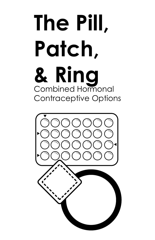# **The Pill, Patch, & Ring** Combined Hormonal Contraceptive Options

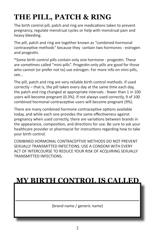# **THE PILL, PATCH & RING**

The birth control pill, patch and ring are medications taken to prevent pregnancy, regulate menstrual cycles or help with menstrual pain and heavy bleeding.

The pill, patch and ring are together known as "combined-hormonal contraceptive methods" because they contain two hormones - estrogen and progestin.

\*Some birth control pills contain only one hormone - progestin. These are sometimes called "mini-pills". Progestin-only pills are good for those who cannot (or prefer not to) use estrogen. For more info on mini-pills, see…

The pill, patch and ring are very reliable birth control methods. If used correctly – that is, the pill taken every day at the same time each day, the patch and ring changed at appropriate intervals - fewer than 1 in 100 users will become pregnant (0.3%). If not always used correctly, 9 of 100 combined hormonal contraceptive users will become pregnant (9%).

There are many combined hormone contraceptive options available today, and while each one provides the same effectiveness against pregnancy when used correctly, there are variations between brands in the appearance, composition, and directions for use. Be sure to ask your healthcare provider or pharmacist for instructions regarding how to take your birth control.

COMBINED HORMONAL CONTRACEPTIVE METHODS DO NOT PREVENT SEXUALLY TRANSMITTED INFECTIONS. USE A CONDOM WITH EVERY ACT OF INTERCOURSE TO REDUCE YOUR RISK OF ACQUIRING SEXUALLY TRANSMITTED INFECTIONS.

# **MY BIRTH CONTROL IS CALLED**

**\_\_\_\_\_\_\_\_\_\_\_\_\_\_\_\_\_\_\_\_\_\_\_\_\_** (brand name / generic name)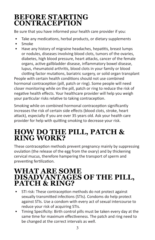### **BEFORE STARTING CONTRACEPTION**

Be sure that you have informed your health care provider if you:

- Take any medications, herbal products, or dietary supplements
- Smoke
- Have any history of migraine headaches, hepatitis, breast lumps or nodules, diseases involving blood clots, tumors of the ovaries, diabetes, high blood pressure, heart attacks, cancer of the female organs, active gallbladder disease, inflammatory bowel disease, lupus, rheumatoid arthritis, blood clots in your family or blood clotting factor mutations, bariatric surgery, or solid organ transplant

People with certain health conditions should not use combined hormonal contraception (pill, patch or ring). Some people will need closer monitoring while on the pill, patch or ring to reduce the risk of negative health effects. Your healthcare provider will help you weigh your particular risks relative to taking contraception.

Smoking while on combined hormonal contraception significantly increases the risk of certain side effects (blood clots, stroke, heart attack), especially if you are over 35 years old. Ask your health care provider for help with quitting smoking to decrease your risk.

## **HOW DO THE PILL, PATCH & RING WORK?**

These contraception methods prevent pregnancy mainly by suppressing ovulation (the release of the egg from the ovary) and by thickening cervical mucus, therefore hampering the transport of sperm and preventing fertilization.

#### **WHAT ARE SOME DISADVANTAGES OF THE PILL, PATCH & RING?**

- STI risk: These contraception methods do not protect against sexually transmitted infections (STIs). Condoms do help protect against STIs. Use a condom with every act of sexual intercourse to reduce your risk of acquiring STIs.
- Timing Specificity: Birth control pills must be taken every day at the same time for maximum effectiveness. The patch and ring need to be changed at the correct intervals as well.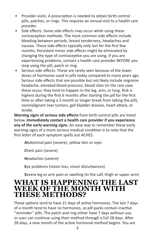- Provider visits: A prescription is needed to obtain birth control pills, patches, or rings. This requires an annual visit to a health care provider.
- Side effects: Some side effects may occur while using these contraception methods. The most common side effects include bleeding between periods, breast tenderness, headaches and nausea. These side effects typically only last for the first few months. Persistent minor side effects might be eliminated by changing the type of contraceptive you are using. If you are experiencing problems, contact a health care provider BEFORE you stop using the pill, patch or ring.
- Serious side effects: These are rarely seen because of the lower doses of hormones used in pills today compared to many years ago. Serious side effects that are possible but not likely include migraine headache, elevated blood pressure, blood clots (in the rare case these occur, they tend to happen in the leg, arm, or lung. Risk is highest during the first 6 months after starting the pill for the first time or after taking a 2 month or longer break from taking the pill), nonmalignant liver tumors, gall bladder disease, heart attack, or stroke.

**Warning signs of serious side effects** from birth control pills are listed below. **Immediately contact a health care provider if you experience any of the early warning signs.** An easy way to remember these early warning signs of a more serious medical condition is to note that the first letter of each symptom spells out ACHES.

**A**bdominal pain (severe), yellow skin or eyes

**C**hest pain (severe)

**H**eadaches (severe)

**E**ye problems (vision loss, vision disturbances)

**S**evere leg or arm pain or swelling (in the calf, thigh or upper arm)

#### **WHAT IS HAPPENING THE LAST WEEK OF THE MONTH WITH THESE METHODS?**

These options tend to have 21 days of active hormones. The last 7 days of a month tend to have no hormones, so pill packs contain inactive "reminder" pills. The patch and ring either have 7 days without use, or uses can continue using their method through a full 28 days. After 28 days, a new month of the active hormonal method begins. You are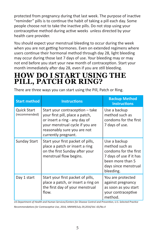protected from pregnancy during that last week. The purpose of inactive "reminder" pills is to continue the habit of taking a pill each day. Some people choose not to take the inactive pills. Do not stop using your contraceptive method during active weeks unless directed by your health care provider.

You should expect your menstrual bleeding to occur during the week when you are not getting hormones. Even on extended regimens where users continue their hormonal method through day 28, light bleeding may occur during those last 7 days of use. Your bleeding may or may not end before you start your new month of contraception. Start your month immediately after day 28, even if you are still bleeding.

## **HOW DO I START USING THE PILL, PATCH OR RING?**

There are three ways you can start using the Pill, Patch or Ring.

| <b>Start method</b>                 | <b>Instructions</b>                                                                                                                                                                          | <b>Backup Method</b><br><b>Instructions</b>                                                                                                 |
|-------------------------------------|----------------------------------------------------------------------------------------------------------------------------------------------------------------------------------------------|---------------------------------------------------------------------------------------------------------------------------------------------|
| <b>Quick Start</b><br>(recommended) | Start your contraception - take<br>your first pill, place a patch,<br>or insert a ring - any day of<br>your menstrual cycle if you are<br>reasonably sure you are not<br>currently pregnant. | Use a backup<br>method such as<br>condoms for the first<br>7 days of use.                                                                   |
| <b>Sunday Start</b>                 | Start your first packet of pills,<br>place a patch or insert a ring<br>on the first Sunday after your<br>menstrual flow begins.                                                              | Use a backup<br>method such as<br>condoms for the first<br>7 days of use if it has<br>been more than 5<br>days since menstrual<br>bleeding. |
| Day 1 start                         | Start your first packet of pills,<br>place a patch, or insert a ring on<br>the first day of your menstrual<br>flow.                                                                          | You are protected<br>against pregnancy<br>as soon as you start<br>your contraceptive<br>method.                                             |

*US Department of Health and Human Services/Centers for Disease Control and Prevention, U.S. Selected Practice* 

*Recommendations for Contraceptive Use, 2016, MMWR/July 29,2016/Vol. 65/No.4*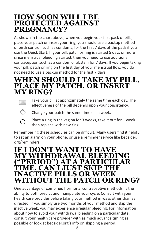#### **HOW SOON WILL I BE PROTECTED AGAINST PREGNANCY?**

As shown in the chart above, when you begin your first pack of pills, place your patch or insert your ring, you should use a backup method of birth control, such as condoms, for the first 7 days of the pack if you use the Quick Start. If your pill, patch or ring is started 5 days or more since menstrual bleeding started, then you need to use additional contraception such as a condom or abstain for 7 days. If you begin taking your pill, patch or ring on the first day of your menstrual flow, you do not need to use a backup method for the first 7 days.

#### **WHEN SHOULD I TAKE MY PILL, PLACE MY PATCH, OR INSERT MY RING?**



Take your pill at approximately the same time each day. The effectiveness of the pill depends upon your consistency.



Change your patch the same time each week.



Place a ring in the vagina for 3 weeks, take it out for 1 week then replace with new ring.

Remembering these schedules can be difficult. Many users find it helpful to set an alarm on your phone, or use a reminder service like bedsider. org/reminders.

#### **IF I DON'T WANT TO HAVE MY WITHDRAWAL BLEEDING ("PERIOD") AT A PARTICULAR TIME, CAN I JUST SKIP THE INACTIVE PILLS OR W WITHOUT THE PATCH OR RING?**

One advantage of combined hormonal contraceptive methods is the ability to both predict and manipulate your cycle. Consult with your health care provider before taking your method in ways other than as directed. If you simply use two months of your method and skip the inactive week, you may experience irregular bleeding. For information about how to avoid your withdrawal bleeding on a particular date, consult your health care provider with as much advance timing as possible or look at bedsider.org's info on skipping a period.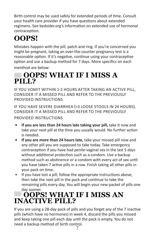Birth control may be used safely for extended periods of time. Consult your health care provider if you have questions about extended regimens. See bedsider.org's information on extended use of hormonal contraception.

# **OOPS!**

Mistakes happen with the pill, patch and ring. If you're concerned you might be pregnant, taking an over-the-counter pregnancy test is a reasonable option. If it's negative, continue using your contraceptive option and use a backup method for 7 days. More specifics on each menthod are below:

# **888 OOPS! WHAT IF I MISS A PILL?**

IF YOU VOMIT WITHIN 1-2 HOURS AFTER TAKING AN ACTIVE PILL, CONSIDER IT A MISSED PILL AND REFER TO THE PREVIOUSLY PROVIDED INSTRUCTIONS

IF YOU HAVE SEVERE DIARRHEA (>3 LOOSE STOOLS IN 24 HOURS), CONSIDER IT A MISSED PILL AND REFER TO THE PREVIOUSLY PROVIDED INSTRUCTIONS

- **If you are less than 24 hours late taking your pill,** take it now and take your next pill at the time you usually would. No further action is needed.
- **If you are more than 24 hours late,** take your missed pill now and any other pill you are supposed to take today. Take emergency contraception if you have had penile-vaginal sex in the last 5 days without additional protection such as a condom. Use a backup method such as abstinence or a condom with every act of sex until you have taken 7 active pills in a row. Finish taking all other pills in your pack on time.
- If you have lost a pill, follow the appropriate instructions above, then take the next pill in the pack and continue to take the remaining pills every day. You will begin your new packet of pills one day sooner.

# **OOPS! WHAT IF I MISS AN INACTIVE PILL?**

If you are using a 28-day pack of pills and you forget any of the 7 inactive pills (which have no hormones) in week 4, discard the pills you missed and keep taking one pill each day until the pack is empty. You do not need a backup method of birth control.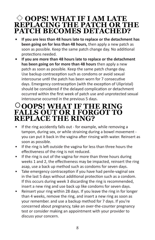#### **OOPS! WHAT IF I AM LATE REPLACING THE PATCH OR THE PATCH BECOMES DETACHED?**

- **If you are less than 48 hours late to replace or the detachment has been going on for less than 48 hours,** then apply a new patch as soon as possible. Keep the same patch change day. No additional protections needed.
- **If you are more than 48 hours late to replace or the detachment has been going on for more than 48 hours** then apply a new patch as soon as possible. Keep the same patch change day. Use backup contraception such as condoms or avoid sexual intercourse until the patch has been worn for 7 consecutive days. Emergency contraception (with the exception of Ulipristal) should be considered if the delayed complication or detachment occurred within the first week of patch use and unprotected sexual intercourse occurred in the previous 5 days.

#### **OOPS! WHAT IF THE RING FALLS OUT OR I FORGOT TO REPLACE THE RING?**

- If the ring accidently falls out for example, while removing a tampon, during sex, or while straining during a bowel movement you can put it back in the vagina after rinsing with water. Reinsert as soon as possible.
- If the ring is left outside the vagina for less than three hours the effectiveness of the ring is not reduced.
- If the ring is out of the vagina for more than three hours during weeks 1 and 2, the effectiveness may be impacted, reinsert the ring asap, use a back up method such as condoms for seven days.
- Take emergency contraception if you have had penile-vaginal sex in the last 5 days without additional protection such as a condom. If this occurs during week 3 discarding the ring is recommended, insert a new ring and use back up like condoms for seven days.
- Reinsert your ring within 28 days. If you leave the ring in for longer than 4 weeks, remove the ring, and insert a new ring as soon as your remember. and use a backup method for 7 days. If you're concerned about pregnancy, take an over-the-counter pregnancy test or consider making an appointment with your provider to discuss your concern.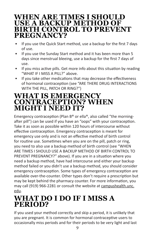#### **WHEN ARE TIMES I SHOULD USE A BACKUP METHOD OF BIRTH CONTROL TO PREVENT PREGNANCY?**

- If you use the Quick Start method, use a backup for the first 7 days of use.
- If you use the Sunday Start method and it has been more than 5 days since menstrual bleeing, use a backup for the first 7 days of use.
- If you miss active pills. Get more info about this situation by reading "WHAT IF I MISS A PILL?" above.
- If you take other medications that may decrease the effectiveness of hormonal contraception (see "ARE THERE DRUG INTERACTIONS WITH THE PILL, PATCH OR RING?")

#### **WHAT IS EMERGENCY CONTRACEPTION? WHEN MIGHT I NEED IT?**

Emergency contraception (Plan B® or ella®, also called "the morningafter pill") can be used if you have an "oops" with your contraception. Take it as soon as possible within 120 hours of intercourse without effective contraception. Emergency contraception is meant for emergency use only and is not an effective method of birth control for routine use. Sometimes when you are on the pill, patch or ring, you need to also use a backup method of birth control (see "WHEN ARE TIMES I SHOULD USE A BACKUP METHOD OF BIRTH CONTROL TO PREVENT PREGNANCY?" above). If you are in a situation where you need a backup method, have had intercourse and either your backup method failed or you didn't use a backup method, you should consider emergency contraception. Some types of emergency contraception are available over-the-counter. Other types don't require a prescription but may be kept behind the pharmacy counter. For more information, you may call (919) 966-2281 or consult the website at [campushealth.unc.](http://campushealth.unc.edu/) [edu](http://campushealth.unc.edu/).

# **WHAT DO I DO IF I MISS A PERIOD?**

If you used your method correctly and skip a period, it is unlikely that you are pregnant. It is common for hormonal contraceptive users to occasionally miss periods and for their periods to be very light and last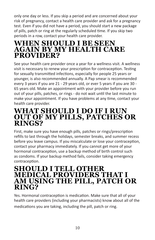only one day or less. If you skip a period and are concerned about your risk of pregnancy, contact a health care provider and ask for a pregnancy test. Even if you did not have a period, you should start a new package of pills, patch or ring at the regularly scheduled time. If you skip two periods in a row, contact your health care provider.

#### **WHEN SHOULD I BE SEEN AGAIN BY MY HEALTH CARE PROVIDER?**

See your health care provider once a year for a wellness visit. A wellness visit is necessary to renew your prescription for contraception. Testing for sexually transmitted infections, especially for people 25 years or younger, is also recommended annually. A Pap smear is recommended every 3 years if you are 21 - 29 years old, or ever 5 years if you are 30 - 65 years old. Make an appointment with your provider before you run out of your pills, patches, or rings - do not wait until the last minute to make your appointment. If you have problems at any time, contact your health care provider.

#### **WHAT SHOULD I DO IF I RUN OUT OF MY PILLS, PATCHES OR RINGS?**

First, make sure you have enough pills, patches or rings/prescription refills to last through the holidays, semester breaks, and summer recess before you leave campus. If you miscalculate or lose your contraception, contact your pharmacy immediately. If you cannot get more of your hormonal contraception, use a backup method of birth control such as condoms. If your backup method fails, consider taking emergency contraception.

#### **SHOULD I TELL OTHER MEDICAL PROVIDERS THAT I AM USING THE PILL, PATCH OR RING?**

Yes. Hormonal contraception is medication. Make sure that all of your health care providers (including your pharmacists) know about all of the medications you are taking, including the pill, patch or ring.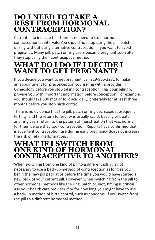#### **DO I NEED TO TAKE A REST FROM HORMONAL CONTRACEPTION?**

Current data indicate that there is no need to stop hormonal contraception at intervals. You should not stop using the pill, patch or ring without using alternative contraception if you want to avoid pregnancy. Many pill, patch or ring users become pregnant soon after they stop using their contraceptive method.

# **WHAT DO I DO IF I DECIDE I WANT TO GET PREGNANT?**

If you decide you want to get pregnant, call 919-966-2281 to make an appointment for preconception counseling with a provider in Gynecology before you stop taking contraception. This counseling will provide you with important information before conception. For example, you should take 800 mcg of folic acid daily, preferably for at least three months before you stop birth control.

There is no evidence that the pill, patch or ring decreases subsequent fertility, and the return to fertility is usually rapid. Usually pill, patch and ring users return to the pattern of menstruation that was normal for them before they took contraception. Reports have confirmed that inadvertent contraception use during early pregnancy does not increase the risk of fetal malformations.

#### **WHAT IF I SWITCH FROM ONE KIND OF HORMONAL CONTRACEPTIVE TO ANOTHER?**

When switching from one kind of pill to a different pill, it is not necessary to use a back-up method of contraception as long as you begin the new pill pack at or before the time you would have started a new pack of your current pill. However, when switching from the pill to other hormonal methods like the ring, patch or shot, timing is critical. Ask your health care provider if or for how long you might have to use a back-up method of birth control, such as condoms, if you switch from the pill to a different hormonal method.